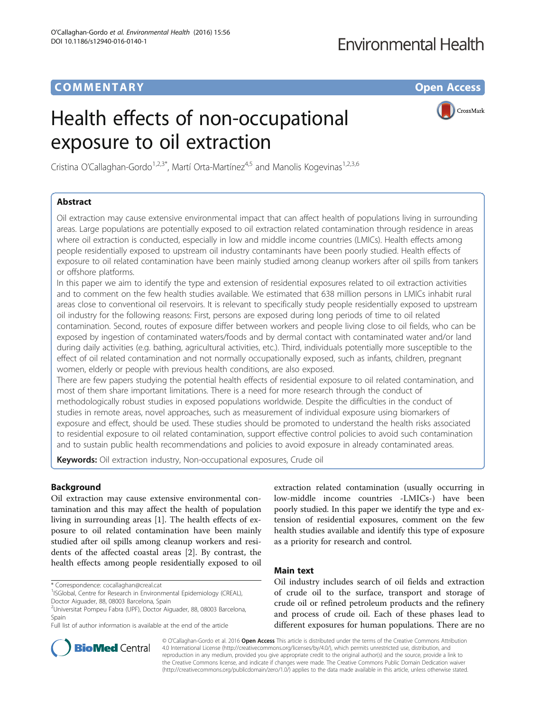## **Environmental Health**

## COMM EN TARY Open Access

# Health effects of non-occupational exposure to oil extraction



Cristina O'Callaghan-Gordo<sup>1,2,3\*</sup>, Martí Orta-Martínez<sup>4,5</sup> and Manolis Kogevinas<sup>1,2,3,6</sup>

## Abstract

Oil extraction may cause extensive environmental impact that can affect health of populations living in surrounding areas. Large populations are potentially exposed to oil extraction related contamination through residence in areas where oil extraction is conducted, especially in low and middle income countries (LMICs). Health effects among people residentially exposed to upstream oil industry contaminants have been poorly studied. Health effects of exposure to oil related contamination have been mainly studied among cleanup workers after oil spills from tankers or offshore platforms.

In this paper we aim to identify the type and extension of residential exposures related to oil extraction activities and to comment on the few health studies available. We estimated that 638 million persons in LMICs inhabit rural areas close to conventional oil reservoirs. It is relevant to specifically study people residentially exposed to upstream oil industry for the following reasons: First, persons are exposed during long periods of time to oil related contamination. Second, routes of exposure differ between workers and people living close to oil fields, who can be exposed by ingestion of contaminated waters/foods and by dermal contact with contaminated water and/or land during daily activities (e.g. bathing, agricultural activities, etc.). Third, individuals potentially more susceptible to the effect of oil related contamination and not normally occupationally exposed, such as infants, children, pregnant women, elderly or people with previous health conditions, are also exposed.

There are few papers studying the potential health effects of residential exposure to oil related contamination, and most of them share important limitations. There is a need for more research through the conduct of methodologically robust studies in exposed populations worldwide. Despite the difficulties in the conduct of studies in remote areas, novel approaches, such as measurement of individual exposure using biomarkers of exposure and effect, should be used. These studies should be promoted to understand the health risks associated to residential exposure to oil related contamination, support effective control policies to avoid such contamination and to sustain public health recommendations and policies to avoid exposure in already contaminated areas.

Keywords: Oil extraction industry, Non-occupational exposures, Crude oil

## Background

Oil extraction may cause extensive environmental contamination and this may affect the health of population living in surrounding areas [[1\]](#page-2-0). The health effects of exposure to oil related contamination have been mainly studied after oil spills among cleanup workers and residents of the affected coastal areas [[2\]](#page-3-0). By contrast, the health effects among people residentially exposed to oil

Full list of author information is available at the end of the article



### Main text

Oil industry includes search of oil fields and extraction of crude oil to the surface, transport and storage of crude oil or refined petroleum products and the refinery and process of crude oil. Each of these phases lead to different exposures for human populations. There are no



© O'Callaghan-Gordo et al. 2016 **Open Access** This article is distributed under the terms of the Creative Commons Attribution 4.0 International License ([http://creativecommons.org/licenses/by/4.0/\)](http://creativecommons.org/licenses/by/4.0/), which permits unrestricted use, distribution, and reproduction in any medium, provided you give appropriate credit to the original author(s) and the source, provide a link to the Creative Commons license, and indicate if changes were made. The Creative Commons Public Domain Dedication waiver [\(http://creativecommons.org/publicdomain/zero/1.0/](http://creativecommons.org/publicdomain/zero/1.0/)) applies to the data made available in this article, unless otherwise stated.

<sup>\*</sup> Correspondence: [cocallaghan@creal.cat](mailto:cocallaghan@creal.cat) <sup>1</sup>

<sup>&</sup>lt;sup>1</sup>ISGlobal, Centre for Research in Environmental Epidemiology (CREAL), Doctor Aiguader, 88, 08003 Barcelona, Spain

<sup>2</sup> Universitat Pompeu Fabra (UPF), Doctor Aiguader, 88, 08003 Barcelona, Spain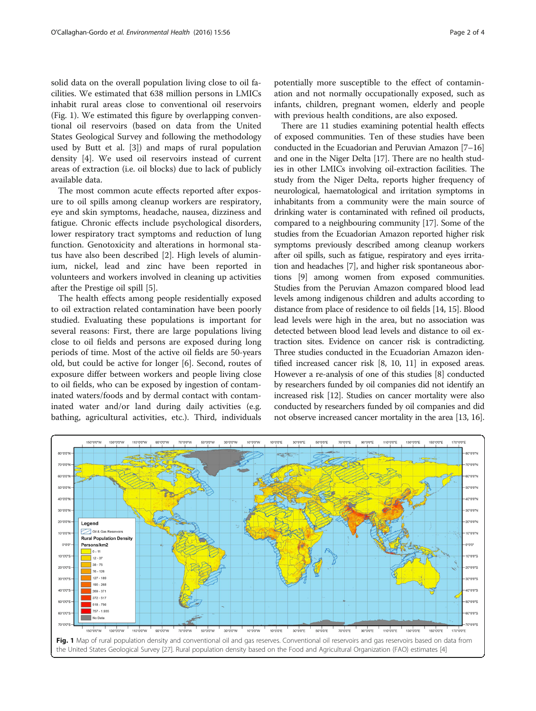solid data on the overall population living close to oil facilities. We estimated that 638 million persons in LMICs inhabit rural areas close to conventional oil reservoirs (Fig. 1). We estimated this figure by overlapping conventional oil reservoirs (based on data from the United States Geological Survey and following the methodology used by Butt et al. [[3\]](#page-3-0)) and maps of rural population density [[4\]](#page-3-0). We used oil reservoirs instead of current areas of extraction (i.e. oil blocks) due to lack of publicly available data.

The most common acute effects reported after exposure to oil spills among cleanup workers are respiratory, eye and skin symptoms, headache, nausea, dizziness and fatigue. Chronic effects include psychological disorders, lower respiratory tract symptoms and reduction of lung function. Genotoxicity and alterations in hormonal status have also been described [\[2\]](#page-3-0). High levels of aluminium, nickel, lead and zinc have been reported in volunteers and workers involved in cleaning up activities after the Prestige oil spill [\[5\]](#page-3-0).

The health effects among people residentially exposed to oil extraction related contamination have been poorly studied. Evaluating these populations is important for several reasons: First, there are large populations living close to oil fields and persons are exposed during long periods of time. Most of the active oil fields are 50-years old, but could be active for longer [[6\]](#page-3-0). Second, routes of exposure differ between workers and people living close to oil fields, who can be exposed by ingestion of contaminated waters/foods and by dermal contact with contaminated water and/or land during daily activities (e.g. bathing, agricultural activities, etc.). Third, individuals

potentially more susceptible to the effect of contamination and not normally occupationally exposed, such as infants, children, pregnant women, elderly and people with previous health conditions, are also exposed.

There are 11 studies examining potential health effects of exposed communities. Ten of these studies have been conducted in the Ecuadorian and Peruvian Amazon [\[7](#page-3-0)–[16](#page-3-0)] and one in the Niger Delta [\[17\]](#page-3-0). There are no health studies in other LMICs involving oil-extraction facilities. The study from the Niger Delta, reports higher frequency of neurological, haematological and irritation symptoms in inhabitants from a community were the main source of drinking water is contaminated with refined oil products, compared to a neighbouring community [[17](#page-3-0)]. Some of the studies from the Ecuadorian Amazon reported higher risk symptoms previously described among cleanup workers after oil spills, such as fatigue, respiratory and eyes irritation and headaches [\[7\]](#page-3-0), and higher risk spontaneous abortions [\[9\]](#page-3-0) among women from exposed communities. Studies from the Peruvian Amazon compared blood lead levels among indigenous children and adults according to distance from place of residence to oil fields [[14](#page-3-0), [15\]](#page-3-0). Blood lead levels were high in the area, but no association was detected between blood lead levels and distance to oil extraction sites. Evidence on cancer risk is contradicting. Three studies conducted in the Ecuadorian Amazon identified increased cancer risk [\[8, 10](#page-3-0), [11\]](#page-3-0) in exposed areas. However a re-analysis of one of this studies [\[8\]](#page-3-0) conducted by researchers funded by oil companies did not identify an increased risk [[12](#page-3-0)]. Studies on cancer mortality were also conducted by researchers funded by oil companies and did not observe increased cancer mortality in the area [\[13, 16](#page-3-0)].

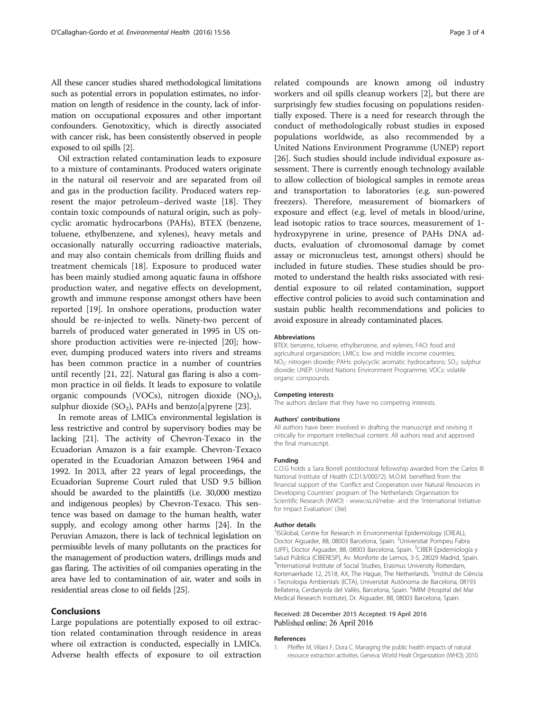<span id="page-2-0"></span>All these cancer studies shared methodological limitations such as potential errors in population estimates, no information on length of residence in the county, lack of information on occupational exposures and other important confounders. Genotoxiticy, which is directly associated with cancer risk, has been consistently observed in people exposed to oil spills [[2](#page-3-0)].

Oil extraction related contamination leads to exposure to a mixture of contaminants. Produced waters originate in the natural oil reservoir and are separated from oil and gas in the production facility. Produced waters represent the major petroleum–derived waste [\[18](#page-3-0)]. They contain toxic compounds of natural origin, such as polycyclic aromatic hydrocarbons (PAHs), BTEX (benzene, toluene, ethylbenzene, and xylenes), heavy metals and occasionally naturally occurring radioactive materials, and may also contain chemicals from drilling fluids and treatment chemicals [\[18](#page-3-0)]. Exposure to produced water has been mainly studied among aquatic fauna in offshore production water, and negative effects on development, growth and immune response amongst others have been reported [\[19\]](#page-3-0). In onshore operations, production water should be re-injected to wells. Ninety-two percent of barrels of produced water generated in 1995 in US onshore production activities were re-injected [[20\]](#page-3-0); however, dumping produced waters into rivers and streams has been common practice in a number of countries until recently [\[21, 22](#page-3-0)]. Natural gas flaring is also a common practice in oil fields. It leads to exposure to volatile organic compounds (VOCs), nitrogen dioxide  $(NO<sub>2</sub>)$ , sulphur dioxide (SO<sub>2</sub>), PAHs and benzo[a]pyrene [\[23](#page-3-0)].

In remote areas of LMICs environmental legislation is less restrictive and control by supervisory bodies may be lacking [\[21\]](#page-3-0). The activity of Chevron-Texaco in the Ecuadorian Amazon is a fair example. Chevron-Texaco operated in the Ecuadorian Amazon between 1964 and 1992. In 2013, after 22 years of legal proceedings, the Ecuadorian Supreme Court ruled that USD 9.5 billion should be awarded to the plaintiffs (i.e. 30,000 mestizo and indigenous peoples) by Chevron-Texaco. This sentence was based on damage to the human health, water supply, and ecology among other harms [\[24](#page-3-0)]. In the Peruvian Amazon, there is lack of technical legislation on permissible levels of many pollutants on the practices for the management of production waters, drillings muds and gas flaring. The activities of oil companies operating in the area have led to contamination of air, water and soils in residential areas close to oil fields [[25](#page-3-0)].

#### Conclusions

Large populations are potentially exposed to oil extraction related contamination through residence in areas where oil extraction is conducted, especially in LMICs. Adverse health effects of exposure to oil extraction

related compounds are known among oil industry workers and oil spills cleanup workers [[2\]](#page-3-0), but there are surprisingly few studies focusing on populations residentially exposed. There is a need for research through the conduct of methodologically robust studies in exposed populations worldwide, as also recommended by a United Nations Environment Programme (UNEP) report [[26\]](#page-3-0). Such studies should include individual exposure assessment. There is currently enough technology available to allow collection of biological samples in remote areas and transportation to laboratories (e.g. sun-powered freezers). Therefore, measurement of biomarkers of exposure and effect (e.g. level of metals in blood/urine, lead isotopic ratios to trace sources, measurement of 1 hydroxypyrene in urine, presence of PAHs DNA adducts, evaluation of chromosomal damage by comet assay or micronucleus test, amongst others) should be included in future studies. These studies should be promoted to understand the health risks associated with residential exposure to oil related contamination, support effective control policies to avoid such contamination and sustain public health recommendations and policies to avoid exposure in already contaminated places.

#### Abbreviations

BTEX: benzene, toluene, ethylbenzene, and xylenes; FAO: food and agricultural organization; LMICs: low and middle income countries; NO<sub>2</sub>: nitrogen dioxide; PAHs: polycyclic aromatic hydrocarbons; SO<sub>2</sub>: sulphur dioxide; UNEP: United Nations Environment Programme; VOCs: volatile organic compounds.

#### Competing interests

The authors declare that they have no competing interests.

#### Authors' contributions

All authors have been involved in drafting the manuscript and revising it critically for important intellectual content. All authors read and approved the final manuscript.

#### Funding

C.O.G holds a Sara Borrell postdoctoral fellowship awarded from the Carlos III National Institute of Health (CD13/00072). M.O.M. benefited from the financial support of the 'Conflict and Cooperation over Natural Resources in Developing Countries' program of The Netherlands Organisation for Scientific Research (NWO) - [www.iss.nl/nebe-](http://www.iss.nl/nebe) and the 'International Initiative for Impact Evaluation' (3ie).

#### Author details

<sup>1</sup>ISGlobal, Centre for Research in Environmental Epidemiology (CREAL), Doctor Aiguader, 88, 08003 Barcelona, Spain. <sup>2</sup>Universitat Pompeu Fabra (UPF), Doctor Aiguader, 88, 08003 Barcelona, Spain. <sup>3</sup> CIBER Epidemiología y Salud Pública (CIBERESP), Av. Monforte de Lemos, 3-5, 28029 Madrid, Spain. 4 International Institute of Social Studies, Erasmus University Rotterdam, Kortenaerkade 12, 2518, AX, The Hague, The Netherlands. <sup>5</sup>Institut de Ciència i Tecnologia Ambientals (ICTA), Universitat Autònoma de Barcelona, 08193 Bellaterra, Cerdanyola del Vallès, Barcelona, Spain. <sup>6</sup>IMIM (Hospital del Mar Medical Research Institute), Dr. Aiguader, 88, 08003 Barcelona, Spain.

#### Received: 28 December 2015 Accepted: 19 April 2016 Published online: 26 April 2016

#### References

1. Pfeiffer M, Viliani F, Dora C. Managing the public health impacts of natural resource extraction activities. Geneva: World Healt Organization (WHO); 2010.